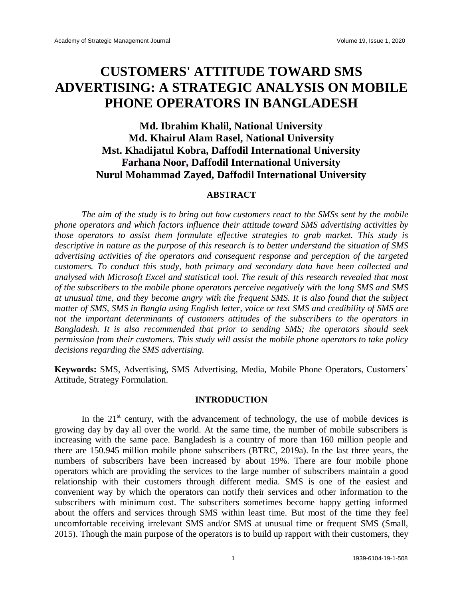# **CUSTOMERS' ATTITUDE TOWARD SMS ADVERTISING: A STRATEGIC ANALYSIS ON MOBILE PHONE OPERATORS IN BANGLADESH**

# **Md. Ibrahim Khalil, National University Md. Khairul Alam Rasel, National University Mst. Khadijatul Kobra, Daffodil International University Farhana Noor, Daffodil International University Nurul Mohammad Zayed, Daffodil International University**

#### **ABSTRACT**

*The aim of the study is to bring out how customers react to the SMSs sent by the mobile phone operators and which factors influence their attitude toward SMS advertising activities by those operators to assist them formulate effective strategies to grab market. This study is descriptive in nature as the purpose of this research is to better understand the situation of SMS advertising activities of the operators and consequent response and perception of the targeted customers. To conduct this study, both primary and secondary data have been collected and analysed with Microsoft Excel and statistical tool. The result of this research revealed that most of the subscribers to the mobile phone operators perceive negatively with the long SMS and SMS at unusual time, and they become angry with the frequent SMS. It is also found that the subject matter of SMS, SMS in Bangla using English letter, voice or text SMS and credibility of SMS are not the important determinants of customers attitudes of the subscribers to the operators in Bangladesh. It is also recommended that prior to sending SMS; the operators should seek permission from their customers. This study will assist the mobile phone operators to take policy decisions regarding the SMS advertising.*

**Keywords:** SMS, Advertising, SMS Advertising, Media, Mobile Phone Operators, Customers' Attitude, Strategy Formulation.

#### **INTRODUCTION**

In the  $21<sup>st</sup>$  century, with the advancement of technology, the use of mobile devices is growing day by day all over the world. At the same time, the number of mobile subscribers is increasing with the same pace. Bangladesh is a country of more than 160 million people and there are 150.945 million mobile phone subscribers (BTRC, 2019a). In the last three years, the numbers of subscribers have been increased by about 19%. There are four mobile phone operators which are providing the services to the large number of subscribers maintain a good relationship with their customers through different media. SMS is one of the easiest and convenient way by which the operators can notify their services and other information to the subscribers with minimum cost. The subscribers sometimes become happy getting informed about the offers and services through SMS within least time. But most of the time they feel uncomfortable receiving irrelevant SMS and/or SMS at unusual time or frequent SMS (Small, 2015). Though the main purpose of the operators is to build up rapport with their customers, they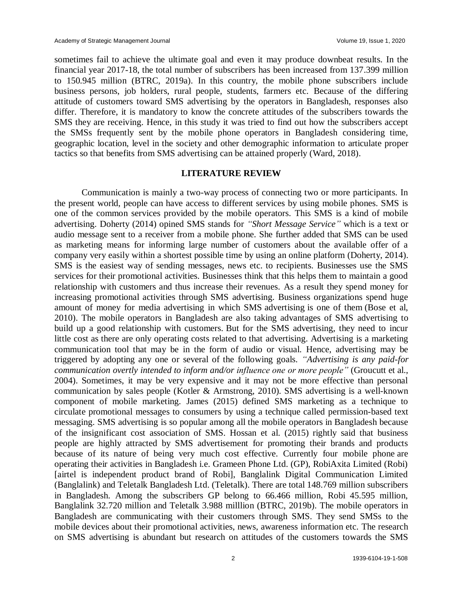sometimes fail to achieve the ultimate goal and even it may produce downbeat results. In the financial year 2017-18, the total number of subscribers has been increased from 137.399 million to 150.945 million (BTRC, 2019a). In this country, the mobile phone subscribers include business persons, job holders, rural people, students, farmers etc. Because of the differing attitude of customers toward SMS advertising by the operators in Bangladesh, responses also differ. Therefore, it is mandatory to know the concrete attitudes of the subscribers towards the SMS they are receiving. Hence, in this study it was tried to find out how the subscribers accept the SMSs frequently sent by the mobile phone operators in Bangladesh considering time, geographic location, level in the society and other demographic information to articulate proper tactics so that benefits from SMS advertising can be attained properly (Ward, 2018).

#### **LITERATURE REVIEW**

Communication is mainly a two-way process of connecting two or more participants. In the present world, people can have access to different services by using mobile phones. SMS is one of the common services provided by the mobile operators. This SMS is a kind of mobile advertising. Doherty (2014) opined SMS stands for *"Short Message Service"* which is a text or audio message sent to a receiver from a mobile phone. She further added that SMS can be used as marketing means for informing large number of customers about the available offer of a company very easily within a shortest possible time by using an online platform (Doherty, 2014). SMS is the easiest way of sending messages, news etc. to recipients. Businesses use the SMS services for their promotional activities. Businesses think that this helps them to maintain a good relationship with customers and thus increase their revenues. As a result they spend money for increasing promotional activities through SMS advertising. Business organizations spend huge amount of money for media advertising in which SMS advertising is one of them (Bose et al, 2010). The mobile operators in Bangladesh are also taking advantages of SMS advertising to build up a good relationship with customers. But for the SMS advertising, they need to incur little cost as there are only operating costs related to that advertising. Advertising is a marketing communication tool that may be in the form of audio or visual. Hence, advertising may be triggered by adopting any one or several of the following goals. *"Advertising is any paid-for communication overtly intended to inform and/or influence one or more people"* (Groucutt et al., 2004). Sometimes, it may be very expensive and it may not be more effective than personal communication by sales people (Kotler & Armstrong, 2010). SMS advertising is a well-known component of mobile marketing. James (2015) defined SMS marketing as a technique to circulate promotional messages to consumers by using a technique called permission-based text messaging. SMS advertising is so popular among all the mobile operators in Bangladesh because of the insignificant cost association of SMS. Hossan et al. (2015) rightly said that business people are highly attracted by SMS advertisement for promoting their brands and products because of its nature of being very much cost effective. Currently four mobile phone are operating their activities in Bangladesh i.e. Grameen Phone Ltd. (GP), RobiAxita Limited (Robi) [airtel is independent product brand of Robi], Banglalink Digital Communication Limited (Banglalink) and Teletalk Bangladesh Ltd. (Teletalk). There are total 148.769 million subscribers in Bangladesh. Among the subscribers GP belong to 66.466 million, Robi 45.595 million, Banglalink 32.720 million and Teletalk 3.988 milllion (BTRC, 2019b). The mobile operators in Bangladesh are communicating with their customers through SMS. They send SMSs to the mobile devices about their promotional activities, news, awareness information etc. The research on SMS advertising is abundant but research on attitudes of the customers towards the SMS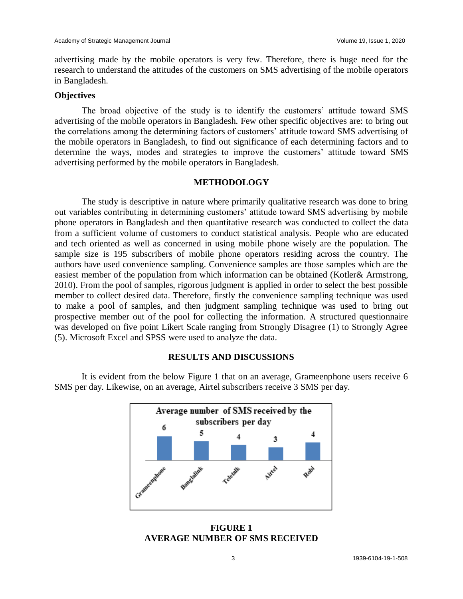advertising made by the mobile operators is very few. Therefore, there is huge need for the research to understand the attitudes of the customers on SMS advertising of the mobile operators in Bangladesh.

### **Objectives**

The broad objective of the study is to identify the customers' attitude toward SMS advertising of the mobile operators in Bangladesh. Few other specific objectives are: to bring out the correlations among the determining factors of customers' attitude toward SMS advertising of the mobile operators in Bangladesh, to find out significance of each determining factors and to determine the ways, modes and strategies to improve the customers' attitude toward SMS advertising performed by the mobile operators in Bangladesh.

#### **METHODOLOGY**

The study is descriptive in nature where primarily qualitative research was done to bring out variables contributing in determining customers' attitude toward SMS advertising by mobile phone operators in Bangladesh and then quantitative research was conducted to collect the data from a sufficient volume of customers to conduct statistical analysis. People who are educated and tech oriented as well as concerned in using mobile phone wisely are the population. The sample size is 195 subscribers of mobile phone operators residing across the country. The authors have used convenience sampling. Convenience samples are those samples which are the easiest member of the population from which information can be obtained (Kotler& Armstrong, 2010). From the pool of samples, rigorous judgment is applied in order to select the best possible member to collect desired data. Therefore, firstly the convenience sampling technique was used to make a pool of samples, and then judgment sampling technique was used to bring out prospective member out of the pool for collecting the information. A structured questionnaire was developed on five point Likert Scale ranging from Strongly Disagree (1) to Strongly Agree (5). Microsoft Excel and SPSS were used to analyze the data.

#### **RESULTS AND DISCUSSIONS**

It is evident from the below Figure 1 that on an average, Grameenphone users receive 6 SMS per day. Likewise, on an average, Airtel subscribers receive 3 SMS per day.



**FIGURE 1 AVERAGE NUMBER OF SMS RECEIVED**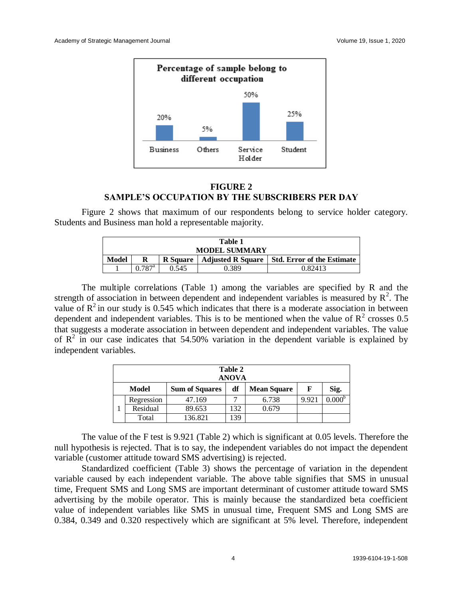

## **FIGURE 2 SAMPLE'S OCCUPATION BY THE SUBSCRIBERS PER DAY**

Figure 2 shows that maximum of our respondents belong to service holder category. Students and Business man hold a representable majority.

| Table 1<br><b>MODEL SUMMARY</b> |                 |                 |                          |                                   |  |  |  |
|---------------------------------|-----------------|-----------------|--------------------------|-----------------------------------|--|--|--|
| <b>Model</b>                    | R               | <b>R</b> Square | <b>Adjusted R Square</b> | <b>Std. Error of the Estimate</b> |  |  |  |
|                                 | $0.787^{\rm a}$ | 0.545           | 0.389                    | 0.82413                           |  |  |  |

The multiple correlations (Table 1) among the variables are specified by R and the strength of association in between dependent and independent variables is measured by  $R^2$ . The value of  $R^2$  in our study is 0.545 which indicates that there is a moderate association in between dependent and independent variables. This is to be mentioned when the value of  $R^2$  crosses 0.5 that suggests a moderate association in between dependent and independent variables. The value of  $R^2$  in our case indicates that 54.50% variation in the dependent variable is explained by independent variables.

| Table 2<br><b>ANOVA</b> |                                                                         |         |     |       |       |                 |  |  |
|-------------------------|-------------------------------------------------------------------------|---------|-----|-------|-------|-----------------|--|--|
|                         | df<br>Sig.<br><b>Mean Square</b><br><b>Sum of Squares</b><br>F<br>Model |         |     |       |       |                 |  |  |
|                         | Regression                                                              | 47.169  | −   | 6.738 | 9.921 | $0.000^{\circ}$ |  |  |
|                         | Residual                                                                | 89.653  | 132 | 0.679 |       |                 |  |  |
|                         | Total                                                                   | 136.821 | 139 |       |       |                 |  |  |

The value of the F test is 9.921 (Table 2) which is significant at 0.05 levels. Therefore the null hypothesis is rejected. That is to say, the independent variables do not impact the dependent variable (customer attitude toward SMS advertising) is rejected.

Standardized coefficient (Table 3) shows the percentage of variation in the dependent variable caused by each independent variable. The above table signifies that SMS in unusual time, Frequent SMS and Long SMS are important determinant of customer attitude toward SMS advertising by the mobile operator. This is mainly because the standardized beta coefficient value of independent variables like SMS in unusual time, Frequent SMS and Long SMS are 0.384, 0.349 and 0.320 respectively which are significant at 5% level. Therefore, independent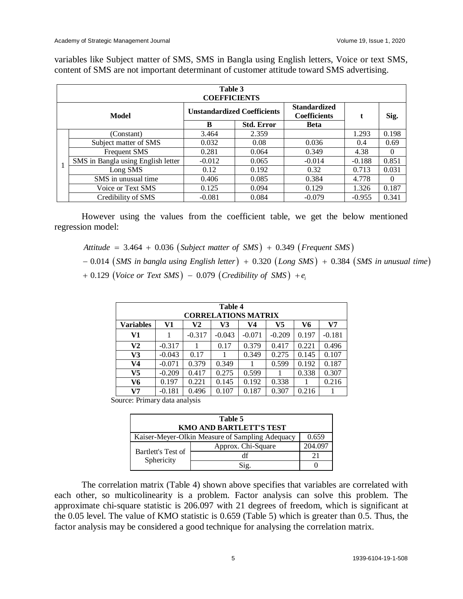|       | Table 3<br><b>COEFFICIENTS</b>     |          |                                    |                                            |          |          |  |  |  |
|-------|------------------------------------|----------|------------------------------------|--------------------------------------------|----------|----------|--|--|--|
| Model |                                    |          | <b>Unstandardized Coefficients</b> | <b>Standardized</b><br><b>Coefficients</b> | t        | Sig.     |  |  |  |
|       |                                    | B        | <b>Std. Error</b><br><b>Beta</b>   |                                            |          |          |  |  |  |
|       | (Constant)                         | 3.464    | 2.359                              |                                            | 1.293    | 0.198    |  |  |  |
|       | Subject matter of SMS              | 0.032    | 0.08                               | 0.036                                      | 0.4      | 0.69     |  |  |  |
|       | <b>Frequent SMS</b>                | 0.281    | 0.064                              | 0.349                                      | 4.38     | $\Omega$ |  |  |  |
|       | SMS in Bangla using English letter | $-0.012$ | 0.065                              | $-0.014$                                   | $-0.188$ | 0.851    |  |  |  |
|       | Long SMS                           | 0.12     | 0.192                              | 0.32                                       | 0.713    | 0.031    |  |  |  |
|       | SMS in unusual time                | 0.406    | 0.085                              | 0.384                                      | 4.778    | $\Omega$ |  |  |  |
|       | Voice or Text SMS                  | 0.125    | 0.094                              | 0.129                                      | 1.326    | 0.187    |  |  |  |
|       | Credibility of SMS                 | $-0.081$ | 0.084                              | $-0.079$                                   | $-0.955$ | 0.341    |  |  |  |

variables like Subject matter of SMS, SMS in Bangla using English letters, Voice or text SMS, content of SMS are not important determinant of customer attitude toward SMS advertising.

However using the values from the coefficient table, we get the below mentioned regression model:

 $Attitude = 3.464 + 0.036 (Subject matter of SMS) + 0.349 (Frequent SMS)$ 

 $-$  0.014 (SMS in bangla using English letter) + 0.320 (Long SMS) + 0.384 (SMS in unusual time)  $+$  0.129 (Voice or Text SMS)  $-$  0.079 (Credibility of SMS)  $+e_i$ 

| Table 4<br><b>CORRELATIONS MATRIX</b> |                                                    |          |          |          |          |       |          |  |  |
|---------------------------------------|----------------------------------------------------|----------|----------|----------|----------|-------|----------|--|--|
| <b>Variables</b>                      | V1<br>V <sub>7</sub><br>V6<br>V2<br>V5<br>V3<br>V4 |          |          |          |          |       |          |  |  |
| V1                                    |                                                    | $-0.317$ | $-0.043$ | $-0.071$ | $-0.209$ | 0.197 | $-0.181$ |  |  |
| V <sub>2</sub>                        | $-0.317$                                           |          | 0.17     | 0.379    | 0.417    | 0.221 | 0.496    |  |  |
| V3                                    | $-0.043$                                           | 0.17     |          | 0.349    | 0.275    | 0.145 | 0.107    |  |  |
| V <sub>4</sub>                        | $-0.071$                                           | 0.379    | 0.349    |          | 0.599    | 0.192 | 0.187    |  |  |
| V <sub>5</sub>                        | $-0.209$                                           | 0.417    | 0.275    | 0.599    |          | 0.338 | 0.307    |  |  |
| V6                                    | 0.197                                              | 0.221    | 0.145    | 0.192    | 0.338    |       | 0.216    |  |  |
| V7                                    | $-0.181$                                           | 0.496    | 0.107    | 0.187    | 0.307    | 0.216 |          |  |  |

Source: Primary data analysis

| Table 5                          |                                                          |         |  |  |  |  |
|----------------------------------|----------------------------------------------------------|---------|--|--|--|--|
| <b>KMO AND BARTLETT'S TEST</b>   |                                                          |         |  |  |  |  |
|                                  | 0.659<br>Kaiser-Meyer-Olkin Measure of Sampling Adequacy |         |  |  |  |  |
|                                  | Approx. Chi-Square                                       | 204.09' |  |  |  |  |
| Bartlett's Test of<br>Sphericity | df                                                       | 21      |  |  |  |  |
|                                  |                                                          |         |  |  |  |  |

The correlation matrix (Table 4) shown above specifies that variables are correlated with each other, so multicolinearity is a problem. Factor analysis can solve this problem. The approximate chi-square statistic is 206.097 with 21 degrees of freedom, which is significant at the 0.05 level. The value of KMO statistic is 0.659 (Table 5) which is greater than 0.5. Thus, the factor analysis may be considered a good technique for analysing the correlation matrix.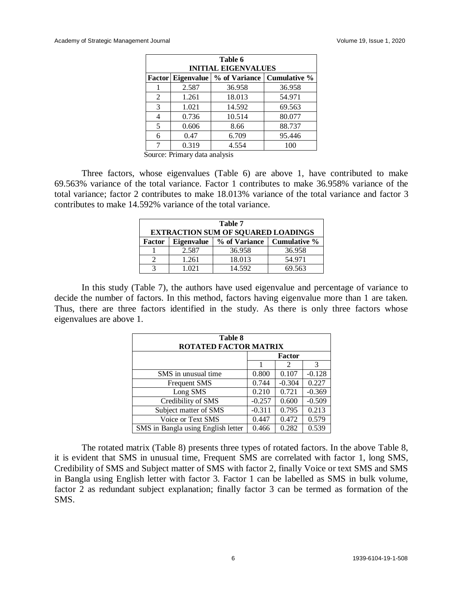| Table 6<br><b>INITIAL EIGENVALUES</b>            |       |        |        |  |  |  |  |
|--------------------------------------------------|-------|--------|--------|--|--|--|--|
| Factor Eigenvalue   % of Variance   Cumulative % |       |        |        |  |  |  |  |
|                                                  | 2.587 | 36.958 | 36.958 |  |  |  |  |
| 2                                                | 1.261 | 18.013 | 54.971 |  |  |  |  |
| 3                                                | 1.021 | 14.592 | 69.563 |  |  |  |  |
| 4                                                | 0.736 | 10.514 | 80.077 |  |  |  |  |
| 5                                                | 0.606 | 8.66   | 88.737 |  |  |  |  |
| 6                                                | 0.47  | 6.709  | 95.446 |  |  |  |  |
|                                                  | 0.319 | 4.554  | 100    |  |  |  |  |

Source: Primary data analysis

Three factors, whose eigenvalues (Table 6) are above 1, have contributed to make 69.563% variance of the total variance. Factor 1 contributes to make 36.958% variance of the total variance; factor 2 contributes to make 18.013% variance of the total variance and factor 3 contributes to make 14.592% variance of the total variance.

| Table 7<br><b>EXTRACTION SUM OF SQUARED LOADINGS</b> |                                             |        |        |  |  |  |
|------------------------------------------------------|---------------------------------------------|--------|--------|--|--|--|
| <b>Factor</b>                                        | % of Variance<br>Eigenvalue<br>Cumulative % |        |        |  |  |  |
|                                                      | 2.587                                       | 36.958 | 36.958 |  |  |  |
|                                                      | 1.261                                       | 18.013 | 54.971 |  |  |  |
|                                                      | -021                                        | 14.592 | 69.563 |  |  |  |

In this study (Table 7), the authors have used eigenvalue and percentage of variance to decide the number of factors. In this method, factors having eigenvalue more than 1 are taken. Thus, there are three factors identified in the study. As there is only three factors whose eigenvalues are above 1.

| Table 8<br><b>ROTATED FACTOR MATRIX</b> |          |               |          |  |  |  |
|-----------------------------------------|----------|---------------|----------|--|--|--|
|                                         |          | <b>Factor</b> |          |  |  |  |
|                                         |          | 2             | 3        |  |  |  |
| SMS in unusual time                     | 0.800    | 0.107         | $-0.128$ |  |  |  |
| <b>Frequent SMS</b>                     | 0.744    | $-0.304$      | 0.227    |  |  |  |
| Long SMS                                | 0.210    | 0.721         | $-0.369$ |  |  |  |
| Credibility of SMS                      | $-0.257$ | 0.600         | $-0.509$ |  |  |  |
| Subject matter of SMS                   | $-0.311$ | 0.795         | 0.213    |  |  |  |
| Voice or Text SMS                       | 0.447    | 0.472         | 0.579    |  |  |  |
| SMS in Bangla using English letter      | 0.466    | 0.282         | 0.539    |  |  |  |

The rotated matrix (Table 8) presents three types of rotated factors. In the above Table 8, it is evident that SMS in unusual time, Frequent SMS are correlated with factor 1, long SMS, Credibility of SMS and Subject matter of SMS with factor 2, finally Voice or text SMS and SMS in Bangla using English letter with factor 3. Factor 1 can be labelled as SMS in bulk volume, factor 2 as redundant subject explanation; finally factor 3 can be termed as formation of the SMS.